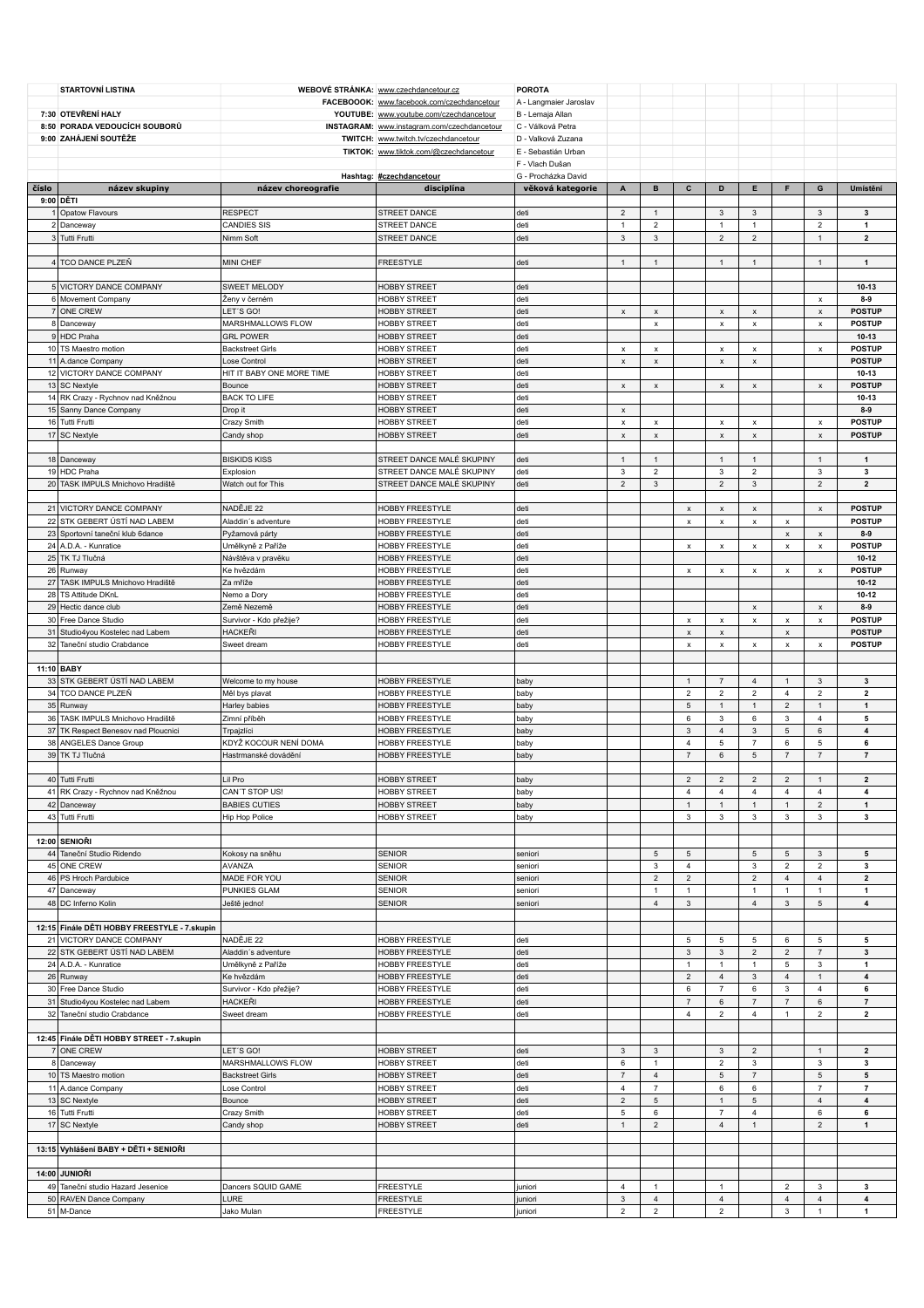|       | <b>STARTOVNÍ LISTINA</b>                                |                                         | WEBOVÉ STRÁNKA: www.czechdancetour.cz       | <b>POROTA</b>                           |                         |                                      |                                |                                          |                                      |                                  |                               |                            |
|-------|---------------------------------------------------------|-----------------------------------------|---------------------------------------------|-----------------------------------------|-------------------------|--------------------------------------|--------------------------------|------------------------------------------|--------------------------------------|----------------------------------|-------------------------------|----------------------------|
|       |                                                         |                                         | FACEBOOOK: www.facebook.com/czechdancetour  | A - Langmaier Jaroslav                  |                         |                                      |                                |                                          |                                      |                                  |                               |                            |
|       | 7:30 OTEVŘENÍ HALY                                      |                                         | YOUTUBE: www.youtube.com/czechdancetour     | B - Lemaja Allan                        |                         |                                      |                                |                                          |                                      |                                  |                               |                            |
|       | 8:50 PORADA VEDOUCÍCH SOUBORŮ                           |                                         | INSTAGRAM: www.instagram.com/czechdancetour | C - Válková Petra                       |                         |                                      |                                |                                          |                                      |                                  |                               |                            |
|       | 9:00 ZAHÁJENÍ SOUTĚŽE                                   |                                         | TWITCH: www.twitch.tv/czechdancetour        | D - Valková Zuzana                      |                         |                                      |                                |                                          |                                      |                                  |                               |                            |
|       |                                                         |                                         | TIKTOK: www.tiktok.com/@czechdancetour      | E - Sebastián Urban                     |                         |                                      |                                |                                          |                                      |                                  |                               |                            |
|       |                                                         |                                         |                                             | F - Vlach Dušan                         |                         |                                      |                                |                                          |                                      |                                  |                               |                            |
| číslo | název skupiny                                           | název choreografie                      | Hashtag: #czechdancetour<br>disciplína      | G - Procházka David<br>věková kategorie | A                       | в                                    | c                              | D                                        | E                                    | F                                | G                             | Umístění                   |
|       | 9:00 DĚTI                                               |                                         |                                             |                                         |                         |                                      |                                |                                          |                                      |                                  |                               |                            |
|       | 1 Opatow Flavours                                       | <b>RESPECT</b>                          | STREET DANCE                                | deti                                    | $\overline{2}$          | $\mathbf{1}$                         |                                | $\mathbf{3}$                             | $\mathbf{3}$                         |                                  | $\mathsf 3$                   | 3                          |
|       | 2 Danceway                                              | <b>CANDIES SIS</b>                      | STREET DANCE                                | deti                                    | $\mathbf{1}$            | $\overline{2}$                       |                                | $\mathbf{1}$                             | $\mathbf{1}$                         |                                  | $\mathbf 2$                   | 1                          |
|       | 3 Tutti Frutti                                          | Nimm Soft                               | STREET DANCE                                | deti                                    | 3                       | $\ensuremath{\mathsf{3}}$            |                                | $\overline{2}$                           | $\overline{2}$                       |                                  | $\mathbf{1}$                  | $\overline{2}$             |
|       |                                                         |                                         |                                             |                                         |                         |                                      |                                |                                          |                                      |                                  |                               |                            |
|       | 4 TCO DANCE PLZEŇ                                       | MINI CHEF                               | FREESTYLE                                   | deti                                    | $\mathbf{1}$            | $\mathbf{1}$                         |                                | $\mathbf{1}$                             | $\mathbf{1}$                         |                                  | $\mathbf{1}$                  | $\mathbf{1}$               |
|       |                                                         |                                         |                                             |                                         |                         |                                      |                                |                                          |                                      |                                  |                               |                            |
|       | 5 VICTORY DANCE COMPANY                                 | SWEET MELODY<br>Ženy v černém           | <b>HOBBY STREET</b>                         | deti<br>deti                            |                         |                                      |                                |                                          |                                      |                                  |                               | $10 - 13$<br>$8-9$         |
|       | 6 Movement Company<br>7 ONE CREW                        | LET'S GO!                               | <b>HOBBY STREET</b><br><b>HOBBY STREET</b>  | deti                                    | $\pmb{\mathsf{x}}$      | $\pmb{\mathsf{x}}$                   |                                | $\pmb{\chi}$                             | $\pmb{\chi}$                         |                                  | x<br>$\pmb{\mathsf{x}}$       | <b>POSTUP</b>              |
|       | 8 Danceway                                              | MARSHMALLOWS FLOW                       | <b>HOBBY STREET</b>                         | deti                                    |                         | $\pmb{\times}$                       |                                | $\pmb{\mathsf{x}}$                       | $\pmb{\mathsf{x}}$                   |                                  | $\pmb{\mathsf{x}}$            | <b>POSTUP</b>              |
|       | 9 HDC Praha                                             | <b>GRL POWER</b>                        | <b>HOBBY STREET</b>                         | deti                                    |                         |                                      |                                |                                          |                                      |                                  |                               | $10-13$                    |
|       | 10 TS Maestro motion                                    | <b>Backstreet Girls</b>                 | <b>HOBBY STREET</b>                         | deti                                    | x                       | $\pmb{\mathsf{x}}$                   |                                | $\pmb{\chi}$                             | $\pmb{\mathsf{x}}$                   |                                  | $\pmb{\mathsf{x}}$            | <b>POSTUP</b>              |
|       | 11 A.dance Company                                      | Lose Control                            | HOBBY STREET                                | deti                                    | $\pmb{\mathsf{x}}$      | $\pmb{\times}$                       |                                | $\mathsf x$                              | $\pmb{\mathsf{x}}$                   |                                  |                               | <b>POSTUP</b>              |
|       | 12 VICTORY DANCE COMPANY                                | HIT IT BABY ONE MORE TIME               | <b>HOBBY STREET</b>                         | deti                                    |                         |                                      |                                |                                          |                                      |                                  |                               | 10-13                      |
|       | 13 SC Nextyle                                           | Bounce                                  | <b>HOBBY STREET</b>                         | deti                                    | $\pmb{\mathsf{x}}$      | $\mathsf x$                          |                                | $\mathsf x$                              | $\pmb{\mathsf{x}}$                   |                                  | $\pmb{\mathsf{x}}$            | <b>POSTUP</b>              |
|       | 14 RK Crazy - Rychnov nad Kněžnou                       | <b>BACK TO LIFE</b>                     | <b>HOBBY STREET</b>                         | deti                                    |                         |                                      |                                |                                          |                                      |                                  |                               | $10 - 13$                  |
|       | 15 Sanny Dance Company                                  | Drop it                                 | <b>HOBBY STREET</b><br><b>HOBBY STREET</b>  | deti                                    | $\pmb{\mathsf{x}}$      |                                      |                                |                                          |                                      |                                  |                               | $8-9$<br><b>POSTUP</b>     |
|       | 16 Tutti Frutti<br>17 SC Nextyle                        | Crazy Smith<br>Candy shop               | <b>HOBBY STREET</b>                         | deti<br>deti                            | х<br>$\pmb{\mathsf{x}}$ | $\pmb{\mathsf{x}}$<br>$\pmb{\times}$ |                                | $\pmb{\mathsf{x}}$<br>$\pmb{\mathsf{x}}$ | $\pmb{\times}$<br>$\pmb{\mathsf{x}}$ |                                  | x<br>x                        | <b>POSTUP</b>              |
|       |                                                         |                                         |                                             |                                         |                         |                                      |                                |                                          |                                      |                                  |                               |                            |
|       | 18 Danceway                                             | <b>BISKIDS KISS</b>                     | STREET DANCE MALÉ SKUPINY                   | deti                                    | $\mathbf 1$             | $\mathbf{1}$                         |                                | $\mathbf{1}$                             | $\mathbf{1}$                         |                                  | $\mathbf{1}$                  | $\mathbf{1}$               |
|       | 19 HDC Praha                                            | Explosion                               | STREET DANCE MALÉ SKUPINY                   | deti                                    | 3                       | $\overline{2}$                       |                                | 3                                        | $\overline{2}$                       |                                  | 3                             | 3                          |
|       | 20 TASK IMPULS Mnichovo Hradiště                        | Watch out for This                      | STREET DANCE MALÉ SKUPINY                   | deti                                    | $\overline{2}$          | $\ensuremath{\mathsf{3}}$            |                                | $\overline{2}$                           | $\mathsf 3$                          |                                  | $\overline{2}$                | $\overline{2}$             |
|       |                                                         |                                         |                                             |                                         |                         |                                      |                                |                                          |                                      |                                  |                               |                            |
|       | 21 VICTORY DANCE COMPANY                                | NADĚJE 22                               | HOBBY FREESTYLE                             | deti                                    |                         |                                      | $\pmb{\mathsf{x}}$             | $\pmb{\mathsf{x}}$                       | $\pmb{\times}$                       |                                  | x                             | <b>POSTUP</b>              |
|       | 22 STK GEBERT ÚSTÍ NAD LABEM                            | Aladdin's adventure                     | HOBBY FREESTYLE                             | deti                                    |                         |                                      | $\pmb{\times}$                 | $\pmb{\chi}$                             | $\pmb{\times}$                       | $\pmb{\mathsf{x}}$               |                               | <b>POSTUP</b>              |
|       | 23 Sportovní taneční klub 6dance                        | Pyžamová párty                          | HOBBY FREESTYLE                             | deti                                    |                         |                                      |                                |                                          |                                      | x                                | $\mathsf x$                   | $8-9$                      |
|       | 24 A.D.A. - Kunratice<br>25 TK TJ Tlučná                | Umělkyně z Paříže<br>Návštěva v pravěku | HOBBY FREESTYLE<br>HOBBY FREESTYLE          | deti<br>deti                            |                         |                                      | $\pmb{\mathsf{x}}$             | x                                        | $\pmb{\times}$                       | $\pmb{\mathsf{x}}$               | X                             | <b>POSTUP</b><br>$10 - 12$ |
|       | 26 Runway                                               | Ke hvězdám                              | HOBBY FREESTYLE                             | deti                                    |                         |                                      | $\pmb{\times}$                 | x                                        | $\pmb{\mathsf{x}}$                   | x                                | $\pmb{\times}$                | <b>POSTUP</b>              |
|       | 27 TASK IMPULS Mnichovo Hradiště                        | Za mříže                                | HOBBY FREESTYLE                             | deti                                    |                         |                                      |                                |                                          |                                      |                                  |                               | $10 - 12$                  |
|       | 28 TS Attitude DKnL                                     | Nemo a Dory                             | HOBBY FREESTYLE                             | deti                                    |                         |                                      |                                |                                          |                                      |                                  |                               | $10 - 12$                  |
|       | 29 Hectic dance club                                    | Země Nezemě                             | HOBBY FREESTYLE                             | deti                                    |                         |                                      |                                |                                          | $\pmb{\mathsf{x}}$                   |                                  | x                             | $8-9$                      |
|       | 30 Free Dance Studio                                    | Survivor - Kdo přežije?                 | HOBBY FREESTYLE                             | deti                                    |                         |                                      | $\pmb{\times}$                 | $\pmb{\mathsf{x}}$                       | $\boldsymbol{\mathsf{x}}$            | $\pmb{\mathsf{x}}$               | $\pmb{\times}$                | <b>POSTUP</b>              |
|       | 31 Studio4you Kostelec nad Labem                        | HACKEŘI                                 | HOBBY FREESTYLE                             | deti                                    |                         |                                      | $\pmb{\mathsf{x}}$             | $\mathsf x$                              |                                      | x                                |                               | <b>POSTUP</b>              |
|       | 32 Taneční studio Crabdance                             | Sweet dream                             | HOBBY FREESTYLE                             | deti                                    |                         |                                      | $\pmb{\mathsf{x}}$             | $\pmb{\mathsf{x}}$                       | $\pmb{\times}$                       | X                                | x                             | <b>POSTUP</b>              |
|       |                                                         |                                         |                                             |                                         |                         |                                      |                                |                                          |                                      |                                  |                               |                            |
|       | 11:10 BABY<br>33 STK GEBERT ÚSTÍ NAD LABEM              |                                         |                                             |                                         |                         |                                      |                                |                                          |                                      |                                  |                               |                            |
|       | 34 TCO DANCE PLZEŇ                                      | Welcome to my house<br>Měl bys plavat   | HOBBY FREESTYLE<br>HOBBY FREESTYLE          | baby<br>baby                            |                         |                                      | $\mathbf{1}$<br>$\overline{2}$ | $\overline{7}$<br>$\overline{2}$         | $\overline{4}$<br>$\overline{2}$     | $\overline{1}$<br>$\overline{4}$ | $\mathsf 3$<br>$\overline{2}$ | 3<br>$\mathbf{2}$          |
|       | 35 Runway                                               | Harley babies                           | HOBBY FREESTYLE                             | baby                                    |                         |                                      | $\,$ 5 $\,$                    | $\mathbf{1}$                             | $\mathbf{1}$                         | $\overline{2}$                   | $\mathbf{1}$                  | $\mathbf{1}$               |
|       | 36 TASK IMPULS Mnichovo Hradiště                        | Zimní příběh                            | HOBBY FREESTYLE                             | baby                                    |                         |                                      | 6                              | $\mathbf{3}$                             | $\,6\,$                              | $\mathbf 3$                      | $\overline{\mathbf{4}}$       | 5                          |
|       | 37 TK Respect Benesov nad Ploucnici                     | Trpajzlíci                              | HOBBY FREESTYLE                             | baby                                    |                         |                                      | $\mathbf{3}$                   | $\overline{4}$                           | $\mathsf 3$                          | $\,$ 5 $\,$                      | 6                             | 4                          |
|       | 38 ANGELES Dance Group                                  | KDYŽ KOCOUR NENÍ DOMA                   | HOBBY FREESTYLE                             | baby                                    |                         |                                      | $\overline{4}$                 | 5                                        | $\overline{7}$                       | 6                                | 5                             | 6                          |
|       | 39 TK TJ Tlučná                                         | Hastrmanské dovádění                    | HOBBY FREESTYLE                             | baby                                    |                         |                                      | $\overline{7}$                 | 6                                        | $\,$ 5 $\,$                          | $\overline{7}$                   | $\overline{7}$                | $\overline{7}$             |
|       |                                                         |                                         |                                             |                                         |                         |                                      |                                |                                          |                                      |                                  |                               |                            |
|       | 40 Tutti Frutti                                         | Lil Pro                                 | <b>HOBBY STREET</b>                         | papy                                    |                         |                                      | $\sqrt{2}$                     | $\overline{2}$                           | $\sqrt{2}$                           | $\overline{2}$                   | $\overline{1}$                |                            |
|       | 41 RK Crazy - Rychnov nad Kněžnou                       | CAN'T STOP US!                          | <b>HOBBY STREET</b>                         | baby                                    |                         |                                      | $\overline{4}$                 | $\overline{4}$                           | $\overline{4}$                       | $\overline{4}$                   | $\overline{4}$                | 4                          |
|       | 42 Danceway<br>43 Tutti Frutti                          | <b>BABIES CUTIES</b>                    | <b>HOBBY STREET</b><br><b>HOBBY STREET</b>  | baby                                    |                         |                                      | $\mathbf{1}$<br>3              | $\mathbf{1}$<br>3                        | $\mathbf{1}$<br>3                    | $\overline{1}$<br>3              | $\overline{2}$<br>3           | $\mathbf{1}$<br>3          |
|       |                                                         | Hip Hop Police                          |                                             | baby                                    |                         |                                      |                                |                                          |                                      |                                  |                               |                            |
|       | 12:00 SENIOŘI                                           |                                         |                                             |                                         |                         |                                      |                                |                                          |                                      |                                  |                               |                            |
|       | 44 Taneční Studio Ridendo                               | Kokosy na sněhu                         | <b>SENIOR</b>                               | seniori                                 |                         | $\mathbf 5$                          | $\,$ 5 $\,$                    |                                          | $\mathbf 5$                          | $\,$ 5 $\,$                      | 3                             | 5                          |
|       | 45 ONE CREW                                             | AVANZA                                  | <b>SENIOR</b>                               | seniori                                 |                         | $\mathsf 3$                          | $\overline{4}$                 |                                          | $\ensuremath{\mathsf{3}}$            | $\overline{2}$                   | $\overline{2}$                | 3                          |
|       | 46 PS Hroch Pardubice                                   | MADE FOR YOU                            | <b>SENIOR</b>                               | seniori                                 |                         | $\overline{c}$                       | $\overline{2}$                 |                                          | $\sqrt{2}$                           | $\overline{4}$                   | $\overline{4}$                | $\mathbf{2}$               |
|       | 47 Danceway                                             | PUNKIES GLAM                            | <b>SENIOR</b>                               | seniori                                 |                         | $\mathbf 1$                          | $\mathbf{1}$                   |                                          | $\overline{1}$                       | $\mathbf{1}$                     | $\mathbf{1}$                  | 1                          |
|       | 48 DC Inferno Kolin                                     | Ještě jedno!                            | SENIOR                                      | seniori                                 |                         | $\overline{4}$                       | $\mathsf 3$                    |                                          | $\overline{4}$                       | 3                                | 5                             | $\overline{\mathbf{4}}$    |
|       | 12:15 Finále DĚTI HOBBY FREESTYLE - 7.skupin            |                                         |                                             |                                         |                         |                                      |                                |                                          |                                      |                                  |                               |                            |
|       | 21 VICTORY DANCE COMPANY                                | NADĚJE 22                               | HOBBY FREESTYLE                             | deti                                    |                         |                                      | $\,$ 5 $\,$                    | 5                                        | $\,$ 5 $\,$                          | 6                                | 5                             | 5                          |
|       | 22 STK GEBERT ÚSTÍ NAD LABEM                            | Aladdin's adventure                     | HOBBY FREESTYLE                             | deti                                    |                         |                                      | $\mathsf 3$                    | 3                                        | $\overline{2}$                       | $\overline{2}$                   | $\overline{7}$                | 3                          |
|       | 24 A.D.A. - Kunratice                                   | Umělkyně z Paříže                       | HOBBY FREESTYLE                             | deti                                    |                         |                                      | $\mathbf{1}$                   | $\mathbf{1}$                             | $\mathbf{1}$                         | $\,$ 5 $\,$                      | 3                             | $\mathbf{1}$               |
|       | 26 Runway                                               | Ke hvězdám                              | HOBBY FREESTYLE                             | deti                                    |                         |                                      | $\overline{2}$                 | $\overline{4}$                           | $\ensuremath{\mathsf{3}}$            | $\overline{4}$                   | 1                             | 4                          |
|       | 30 Free Dance Studio                                    | Survivor - Kdo přežije?                 | HOBBY FREESTYLE                             | deti                                    |                         |                                      | 6                              | $\overline{7}$                           | 6                                    | 3                                | 4                             | 6                          |
|       | 31 Studio4you Kostelec nad Labem                        | HACKEŘI                                 | HOBBY FREESTYLE                             | deti                                    |                         |                                      | $\overline{7}$                 | 6                                        | $\overline{7}$                       | $\overline{7}$                   | 6                             | $\overline{7}$             |
|       | 32 Taneční studio Crabdance                             | Sweet dream                             | HOBBY FREESTYLE                             | deti                                    |                         |                                      | $\overline{4}$                 | $\overline{2}$                           | $\bf{4}$                             | $\overline{1}$                   | $\overline{c}$                | $\overline{\mathbf{2}}$    |
|       |                                                         |                                         |                                             |                                         |                         |                                      |                                |                                          |                                      |                                  |                               |                            |
|       | 12:45 Finále DĚTI HOBBY STREET - 7.skupin<br>7 ONE CREW | LET'S GO!                               | HOBBY STREET                                |                                         | $\mathsf 3$             | $\mathsf 3$                          |                                | $\mathsf 3$                              | $\overline{2}$                       |                                  |                               | $\mathbf 2$                |
|       | 8 Danceway                                              | MARSHMALLOWS FLOW                       | <b>HOBBY STREET</b>                         | deti<br>deti                            | 6                       | $\mathbf{1}$                         |                                | $\overline{2}$                           | $\ensuremath{\mathsf{3}}$            |                                  | $\mathbf{1}$<br>$\mathsf 3$   | 3                          |
|       | 10 TS Maestro motion                                    | <b>Backstreet Girls</b>                 | <b>HOBBY STREET</b>                         | deti                                    | $\overline{7}$          | $\overline{4}$                       |                                | $\,$ 5 $\,$                              | $\overline{7}$                       |                                  | $\,$ 5 $\,$                   | 5                          |
|       | 11 A.dance Company                                      | Lose Control                            | <b>HOBBY STREET</b>                         | deti                                    | $\overline{4}$          | $\overline{7}$                       |                                | 6                                        | 6                                    |                                  | $\overline{7}$                | $\overline{7}$             |
|       | 13 SC Nextyle                                           | Bounce                                  | <b>HOBBY STREET</b>                         | deti                                    | $\overline{2}$          | $\,$ 5 $\,$                          |                                | $\mathbf{1}$                             | $\mathbf 5$                          |                                  | $\overline{4}$                | $\overline{\mathbf{4}}$    |
|       | 16 Tutti Frutti                                         | Crazy Smith                             | <b>HOBBY STREET</b>                         | deti                                    | $\mathbf 5$             | 6                                    |                                | $\boldsymbol{7}$                         | $\overline{4}$                       |                                  | 6                             | 6                          |
|       | 17 SC Nextyle                                           | Candy shop                              | <b>HOBBY STREET</b>                         | deti                                    | $\mathbf{1}$            | $\overline{c}$                       |                                | $\overline{4}$                           | $\mathbf{1}$                         |                                  | $\overline{2}$                | $\mathbf{1}$               |
|       |                                                         |                                         |                                             |                                         |                         |                                      |                                |                                          |                                      |                                  |                               |                            |
|       | 13:15 Vyhlášení BABY + DĚTI + SENIOŘI                   |                                         |                                             |                                         |                         |                                      |                                |                                          |                                      |                                  |                               |                            |
|       | 14:00 JUNIOŘI                                           |                                         |                                             |                                         |                         |                                      |                                |                                          |                                      |                                  |                               |                            |
|       | 49 Taneční studio Hazard Jesenice                       | Dancers SQUID GAME                      | FREESTYLE                                   | juniori                                 | $\overline{4}$          | $\mathbf{1}$                         |                                | $\mathbf{1}$                             |                                      | $\overline{2}$                   | 3                             | 3                          |
|       | 50 RAVEN Dance Company                                  | LURE                                    | FREESTYLE                                   | juniori                                 | 3                       | $\overline{4}$                       |                                | $\overline{4}$                           |                                      | $\overline{4}$                   | $\overline{4}$                | $\overline{\mathbf{4}}$    |
|       | 51 M-Dance                                              | Jako Mulan                              | FREESTYLE                                   | juniori                                 | $\overline{2}$          | $\overline{2}$                       |                                | $\overline{2}$                           |                                      | $\mathbf{3}$                     | $\mathbf{1}$                  | $\mathbf{1}$               |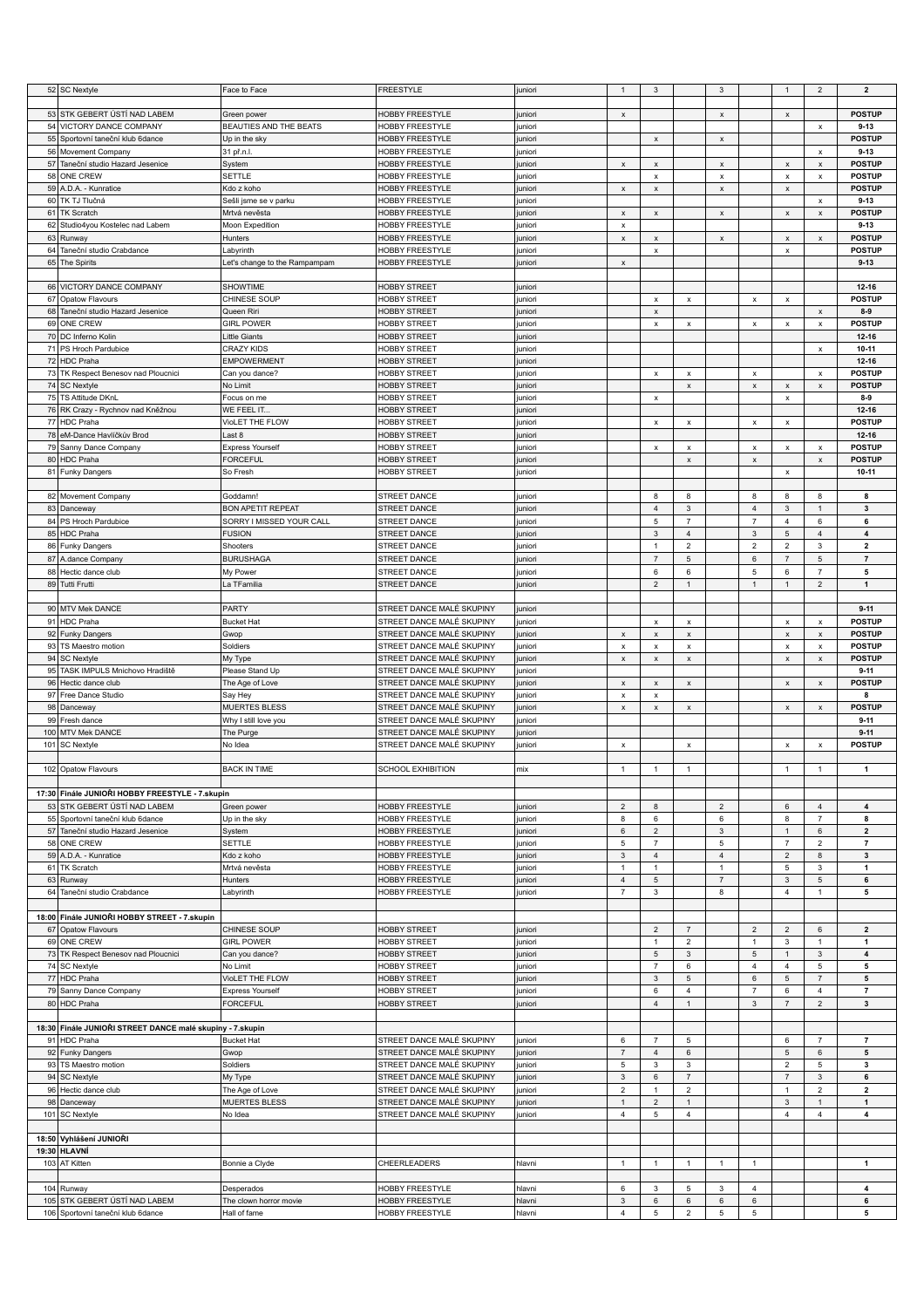|    | 52 SC Nextyle                                                      | Face to Face                           | FREESTYLE                          | juniori           | $\mathbf{1}$                         | $\ensuremath{\mathsf{3}}$                |                         | $\mathbf{3}$              |                    | $\mathbf{1}$                              | $\overline{2}$                           | $\overline{\mathbf{2}}$ |
|----|--------------------------------------------------------------------|----------------------------------------|------------------------------------|-------------------|--------------------------------------|------------------------------------------|-------------------------|---------------------------|--------------------|-------------------------------------------|------------------------------------------|-------------------------|
|    |                                                                    |                                        |                                    |                   |                                      |                                          |                         |                           |                    |                                           |                                          |                         |
|    | 53 STK GEBERT ÚSTÍ NAD LABEM                                       | Green power                            | HOBBY FREESTYLE                    | juniori           | $\pmb{\mathsf{x}}$                   |                                          |                         | $\pmb{\mathsf{x}}$        |                    | $\pmb{\mathsf{x}}$                        |                                          | <b>POSTUP</b>           |
|    | 54 VICTORY DANCE COMPANY                                           | BEAUTIES AND THE BEATS                 | HOBBY FREESTYLE                    | juniori           |                                      |                                          |                         |                           |                    |                                           | $\pmb{\mathsf{x}}$                       | $9 - 13$                |
| 55 | Sportovní taneční klub 6dance                                      | Up in the sky                          | HOBBY FREESTYLE                    | uniori            |                                      | $\pmb{\times}$                           |                         | $\pmb{\mathsf{x}}$        |                    |                                           |                                          | <b>POSTUP</b>           |
|    | 56 Movement Company                                                | 31 př.n.l.                             | HOBBY FREESTYLE                    | juniori           |                                      |                                          |                         |                           |                    |                                           | $\pmb{\chi}$                             | $9 - 13$                |
|    | 57 Taneční studio Hazard Jesenice                                  | System                                 | HOBBY FREESTYLE                    | juniori           | $\pmb{\mathsf{x}}$                   | $\pmb{\times}$                           |                         | $\pmb{\mathsf{x}}$        |                    | $\pmb{\mathsf{x}}$                        | $\pmb{\mathsf{x}}$                       | <b>POSTUP</b>           |
| 58 | <b>ONE CREW</b>                                                    | <b>SETTLE</b>                          | <b>HOBBY FREESTYLE</b>             | uniori            |                                      | $\pmb{\times}$                           |                         | $\boldsymbol{\mathsf{x}}$ |                    | $\pmb{\mathsf{x}}$                        | $\pmb{\mathsf{x}}$                       | <b>POSTUP</b>           |
|    | 59 A.D.A. - Kunratice                                              | Kdo z koho                             | HOBBY FREESTYLE                    | juniori           | $\pmb{\mathsf{x}}$                   | $\mathsf{x}$                             |                         | $\pmb{\times}$            |                    | $\pmb{\mathsf{x}}$                        |                                          | <b>POSTUP</b>           |
|    | 60 TK TJ Tlučná                                                    | Sešli jsme se v parku                  | HOBBY FREESTYLE                    | juniori           |                                      |                                          |                         |                           |                    |                                           | $\pmb{\mathsf{x}}$                       | $9 - 13$                |
|    | 61 TK Scratch                                                      | Mrtvá nevěsta                          | HOBBY FREESTYLE                    | uniori            | $\pmb{\mathsf{x}}$                   | $\pmb{\times}$                           |                         | $\pmb{\mathsf{x}}$        |                    | $\pmb{\mathsf{x}}$                        | $\boldsymbol{\mathsf{x}}$                | <b>POSTUP</b>           |
| 62 | Studio4you Kostelec nad Labem                                      | Moon Expedition                        | HOBBY FREESTYLE                    | juniori           | x                                    |                                          |                         |                           |                    |                                           |                                          | $9 - 13$                |
|    | 63 Runway                                                          | Hunters                                | <b>HOBBY FREESTYLE</b>             | juniori           | $\pmb{\mathsf{x}}$                   | $\pmb{\times}$                           |                         | $\pmb{\mathsf{x}}$        |                    | $\pmb{\mathsf{x}}$                        | $\pmb{\mathsf{x}}$                       | <b>POSTUP</b>           |
| 64 | Taneční studio Crabdance                                           | Labyrinth                              | HOBBY FREESTYLE                    | juniori           |                                      | $\pmb{\mathsf{x}}$                       |                         |                           |                    | $\pmb{\mathsf{x}}$                        |                                          | <b>POSTUP</b>           |
|    | 65 The Spirits                                                     | Let's change to the Rampampam          | HOBBY FREESTYLE                    | uniori            | $\pmb{\mathsf{x}}$                   |                                          |                         |                           |                    |                                           |                                          | $9 - 13$                |
|    |                                                                    |                                        |                                    |                   |                                      |                                          |                         |                           |                    |                                           |                                          |                         |
|    | 66 VICTORY DANCE COMPANY                                           | SHOWTIME                               | <b>HOBBY STREET</b>                | juniori           |                                      |                                          |                         |                           |                    |                                           |                                          | $12 - 16$               |
|    | 67 Opatow Flavours                                                 | CHINESE SOUP                           | <b>HOBBY STREET</b>                | juniori           |                                      | $\pmb{\times}$                           | $\pmb{\mathsf{x}}$      |                           | $\pmb{\mathsf{x}}$ | $\pmb{\mathsf{x}}$                        |                                          | <b>POSTUP</b>           |
|    | 68 Taneční studio Hazard Jesenice                                  | Queen Riri                             | <b>HOBBY STREET</b>                | uniori            |                                      | $\pmb{\mathsf{x}}$                       |                         |                           |                    |                                           | $\pmb{\mathsf{x}}$                       | $8-9$                   |
|    | 69 ONE CREW                                                        | <b>GIRL POWER</b>                      | <b>HOBBY STREET</b>                | juniori           |                                      | $\pmb{\mathsf{x}}$                       | $\pmb{\mathsf{x}}$      |                           | $\pmb{\mathsf{x}}$ | $\pmb{\chi}$                              | $\pmb{\times}$                           | <b>POSTUP</b>           |
|    | 70 DC Inferno Kolin                                                | Little Giants                          | <b>HOBBY STREET</b>                | uniori            |                                      |                                          |                         |                           |                    |                                           |                                          | 12-16                   |
|    | 71 PS Hroch Pardubice                                              | <b>CRAZY KIDS</b>                      | <b>HOBBY STREET</b>                | uniori            |                                      |                                          |                         |                           |                    |                                           | $\pmb{\times}$                           | $10 - 11$               |
|    | 72 HDC Praha                                                       | <b>EMPOWERMENT</b>                     | <b>HOBBY STREET</b>                | juniori           |                                      |                                          |                         |                           |                    |                                           |                                          | $12 - 16$               |
|    | 73 TK Respect Benesov nad Ploucnici                                | Can you dance?                         | <b>HOBBY STREET</b>                | juniori           |                                      | $\pmb{\mathsf{x}}$                       | $\pmb{\mathsf{x}}$      |                           | $\pmb{\mathsf{x}}$ |                                           | $\pmb{\mathsf{x}}$                       | <b>POSTUP</b>           |
|    | 74 SC Nextyle                                                      | No Limit                               | <b>HOBBY STREET</b>                | uniori            |                                      |                                          | $\pmb{\mathsf{x}}$      |                           | $\mathbf{x}$       | $\pmb{\mathsf{x}}$                        | $\mathbf{x}$                             | <b>POSTUP</b>           |
|    | 75 TS Attitude DKnL                                                | Focus on me                            | <b>HOBBY STREET</b>                | uniori            |                                      | $\pmb{\times}$                           |                         |                           |                    | $\pmb{\mathsf{x}}$                        |                                          | $8-9$                   |
|    | 76 RK Crazy - Rychnov nad Kněžnou                                  | WE FEEL IT                             | <b>HOBBY STREET</b>                | uniori            |                                      |                                          |                         |                           |                    |                                           |                                          | 12-16                   |
|    | 77 HDC Praha                                                       | VioLET THE FLOW                        | <b>HOBBY STREET</b>                | uniori            |                                      | $\pmb{\mathsf{x}}$                       | $\pmb{\times}$          |                           | $\pmb{\mathsf{x}}$ | $\pmb{\mathsf{x}}$                        |                                          | <b>POSTUP</b>           |
|    | 78 eM-Dance Havlíčkův Brod                                         | Last 8                                 | <b>HOBBY STREET</b>                | uniori            |                                      |                                          |                         |                           |                    |                                           |                                          | $12 - 16$               |
|    | 79 Sanny Dance Company                                             | <b>Express Yourself</b>                | <b>HOBBY STREET</b>                | juniori           |                                      | $\mathsf x$                              | $\pmb{\mathsf{x}}$      |                           | $\pmb{\mathsf{x}}$ | $\pmb{\mathsf{x}}$                        | $\pmb{\times}$                           | <b>POSTUP</b>           |
| 80 | HDC Praha                                                          | <b>FORCEFUL</b>                        | <b>HOBBY STREET</b>                | juniori           |                                      |                                          | $\mathsf x$             |                           | $\pmb{\mathsf{x}}$ |                                           | $\pmb{\mathsf{x}}$                       | <b>POSTUP</b>           |
|    | 81 Funky Dangers                                                   | So Fresh                               | <b>HOBBY STREET</b>                | juniori           |                                      |                                          |                         |                           |                    | $\mathsf{x}$                              |                                          | $10 - 11$               |
|    |                                                                    |                                        |                                    |                   |                                      |                                          |                         |                           |                    |                                           |                                          |                         |
|    | 82 Movement Company                                                | Goddamn!                               | STREET DANCE                       | juniori           |                                      | 8                                        | 8                       |                           | 8                  | 8                                         | 8                                        | 8                       |
|    | 83 Danceway                                                        | <b>BON APETIT REPEAT</b>               | <b>STREET DANCE</b>                | uniori            |                                      | $\overline{4}$                           | $\mathbf{3}$            |                           | $\overline{4}$     | $\mathbf{3}$                              | $\mathbf{1}$                             | 3                       |
| 84 | PS Hroch Pardubice                                                 | SORRY I MISSED YOUR CALL               | STREET DANCE                       | uniori            |                                      | $\,$ 5 $\,$                              | $\overline{7}$          |                           | $\overline{7}$     | $\overline{4}$                            | 6                                        | 6                       |
|    | 85 HDC Praha                                                       | <b>FUSION</b>                          | STREET DANCE                       | juniori           |                                      | $\mathsf 3$                              | $\overline{4}$          |                           | $\mathbf{3}$       | $\,$ 5 $\,$                               | $\overline{4}$                           | $\overline{\mathbf{4}}$ |
|    | 86 Funky Dangers                                                   | Shooters                               | STREET DANCE                       | juniori           |                                      | $\mathbf{1}$                             | $\overline{2}$          |                           | $\sqrt{2}$         | $\overline{2}$                            | $\mathbf{3}$                             | $\overline{\mathbf{2}}$ |
|    | 87 A.dance Company                                                 | <b>BURUSHAGA</b>                       | STREET DANCE                       | uniori            |                                      | $\overline{7}$                           | 5                       |                           | 6                  | $\overline{7}$                            | $\,$ 5 $\,$                              | $\overline{7}$          |
| 88 | Hectic dance club                                                  | My Power                               | STREET DANCE                       | uniori            |                                      | 6                                        | 6                       |                           | 5                  | 6                                         | $\overline{7}$                           | 5                       |
|    | 89 Tutti Frutti                                                    | La TFamilia                            | STREET DANCE                       | juniori           |                                      | $\overline{2}$                           | $\mathbf{1}$            |                           | $\mathbf{1}$       | $\mathbf{1}$                              | $\overline{2}$                           | $\mathbf{1}$            |
|    |                                                                    |                                        |                                    |                   |                                      |                                          |                         |                           |                    |                                           |                                          |                         |
|    | 90 MTV Mek DANCE                                                   | PARTY                                  | STREET DANCE MALÉ SKUPINY          | juniori           |                                      |                                          |                         |                           |                    |                                           |                                          | $9 - 11$                |
|    | 91 HDC Praha                                                       | <b>Bucket Hat</b>                      | STREET DANCE MALÉ SKUPINY          | juniori           |                                      | $\pmb{\times}$                           | $\pmb{\mathsf{x}}$      |                           |                    | $\pmb{\mathsf{x}}$                        | $\pmb{\mathsf{x}}$                       | <b>POSTUP</b>           |
|    | 92 Funky Dangers                                                   | Gwop                                   | STREET DANCE MALÉ SKUPINY          | juniori           | $\pmb{\mathsf{x}}$                   | $\mathsf{x}$                             | $\pmb{\mathsf{x}}$      |                           |                    | $\pmb{\mathsf{x}}$                        | $\mathsf x$                              | <b>POSTUP</b>           |
| 93 |                                                                    | Soldiers                               | STREET DANCE MALÉ SKUPINY          |                   |                                      |                                          |                         |                           |                    |                                           |                                          | <b>POSTUP</b>           |
|    | TS Maestro motion<br>94 SC Nextyle                                 | My Type                                | STREET DANCE MALÉ SKUPINY          | juniori<br>uniori | $\pmb{\times}$<br>$\pmb{\mathsf{x}}$ | $\pmb{\mathsf{x}}$<br>$\pmb{\mathsf{x}}$ | x<br>$\pmb{\mathsf{x}}$ |                           |                    | $\boldsymbol{\mathsf{x}}$<br>$\pmb{\chi}$ | $\pmb{\mathsf{x}}$<br>$\pmb{\mathsf{x}}$ | <b>POSTUP</b>           |
|    |                                                                    |                                        |                                    |                   |                                      |                                          |                         |                           |                    |                                           |                                          |                         |
|    |                                                                    |                                        |                                    |                   |                                      |                                          |                         |                           |                    |                                           |                                          |                         |
|    | 95 TASK IMPULS Mnichovo Hradiště                                   | Please Stand Up                        | STREET DANCE MALÉ SKUPINY          | juniori           |                                      |                                          |                         |                           |                    |                                           |                                          | $9 - 11$                |
| 96 | Hectic dance club                                                  | The Age of Love                        | STREET DANCE MALÉ SKUPINY          | juniori           | $\pmb{\mathsf{x}}$                   | $\mathsf x$                              | $\mathsf x$             |                           |                    | $\pmb{\mathsf{x}}$                        | $\pmb{\mathsf{x}}$                       | <b>POSTUP</b>           |
|    | 97 Free Dance Studio                                               | Say Hey                                | STREET DANCE MALÉ SKUPINY          | juniori           | $\pmb{\times}$                       | $\pmb{\times}$                           |                         |                           |                    |                                           |                                          | 8                       |
| 98 | Danceway                                                           | <b>MUERTES BLESS</b>                   | STREET DANCE MALÉ SKUPINY          | uniori            | $\pmb{\times}$                       | $\pmb{\times}$                           | $\mathsf{x}$            |                           |                    | $\pmb{\mathsf{x}}$                        | $\pmb{\mathsf{x}}$                       | <b>POSTUP</b>           |
| 99 | Fresh dance                                                        | Why I still love you                   | STREET DANCE MALÉ SKUPINY          | juniori           |                                      |                                          |                         |                           |                    |                                           |                                          | $9 - 11$                |
|    | 100 MTV Mek DANCE                                                  | The Purge                              | STREET DANCE MALÉ SKUPINY          | uniori            |                                      |                                          |                         |                           |                    |                                           |                                          | $9 - 11$                |
|    | 101 SC Nextyle                                                     | No Idea                                | STREET DANCE MALÉ SKUPINY          | uniori            | $\pmb{\times}$                       |                                          | $\pmb{\mathsf{x}}$      |                           |                    | $\pmb{\mathsf{x}}$                        | $\pmb{\times}$                           | <b>POSTUP</b>           |
|    |                                                                    |                                        |                                    |                   |                                      |                                          |                         |                           |                    |                                           |                                          |                         |
|    | 102 Opatow Flavours                                                | <b>BACK IN TIME</b>                    | SCHOOL EXHIBITION                  | mix               | $\mathbf{1}$                         | -1                                       | $\mathbf{1}$            |                           |                    | $\mathbf{1}$                              | $\mathbf{1}$                             | 1                       |
|    |                                                                    |                                        |                                    |                   |                                      |                                          |                         |                           |                    |                                           |                                          |                         |
|    | 17:30 Finále JUNIOŘI HOBBY FREESTYLE - 7.skupin                    |                                        |                                    |                   |                                      |                                          |                         |                           |                    |                                           |                                          |                         |
|    | 53 STK GEBERT ÚSTÍ NAD LABEM                                       | Green power                            | HOBBY FREESTYLE                    | juniori           | $\overline{2}$                       | 8                                        |                         | $\overline{2}$            |                    | 6                                         | $\sqrt{4}$                               | 4                       |
|    | 55 Sportovní taneční klub 6dance                                   | Up in the sky                          | HOBBY FREESTYLE                    | juniori           | 8                                    | 6                                        |                         | 6                         |                    | 8                                         | $\overline{7}$                           | 8                       |
|    | 57 Taneční studio Hazard Jesenice                                  | System                                 | HOBBY FREESTYLE                    | juniori           | 6                                    | $\mathbf 2$                              |                         | 3                         |                    | $\mathbf{1}$                              | 6                                        | $\overline{2}$          |
|    | 58 ONE CREW                                                        | <b>SETTLE</b>                          | <b>HOBBY FREESTYLE</b>             | juniori           | 5                                    | $\overline{7}$                           |                         | $\,$ 5 $\,$               |                    | $\overline{7}$                            | $\overline{2}$                           | $\overline{7}$          |
|    | 59 A.D.A. - Kunratice                                              | Kdo z koho                             | <b>HOBBY FREESTYLE</b>             | juniori           | $\mathsf 3$                          | $\sqrt{4}$                               |                         | $\overline{4}$            |                    | $\sqrt{2}$                                | 8                                        | $\mathbf{3}$            |
|    | 61 TK Scratch                                                      | Mrtvá nevěsta                          | <b>HOBBY FREESTYLE</b>             | juniori           | 1                                    | $\mathbf{1}$                             |                         | $\mathbf{1}$              |                    | $\,$ 5 $\,$                               | 3                                        | $\mathbf{1}$            |
|    | 63 Runway                                                          | Hunters                                | HOBBY FREESTYLE                    | uniori            | $\overline{4}$                       | $\,$ 5 $\,$                              |                         | $\overline{7}$            |                    | 3                                         | 5                                        | 6                       |
|    | 64 Taneční studio Crabdance                                        | Labyrinth                              | HOBBY FREESTYLE                    | juniori           | $\overline{7}$                       | $\mathsf 3$                              |                         | 8                         |                    | $\overline{4}$                            | $\mathbf{1}$                             | 5                       |
|    |                                                                    |                                        |                                    |                   |                                      |                                          |                         |                           |                    |                                           |                                          |                         |
|    | 18:00 Finále JUNIOŘI HOBBY STREET - 7.skupin                       |                                        |                                    |                   |                                      |                                          |                         |                           |                    |                                           |                                          |                         |
|    | 67 Opatow Flavours                                                 | CHINESE SOUP                           | <b>HOBBY STREET</b>                | juniori           |                                      | $\overline{2}$                           | $\overline{7}$          |                           | $\overline{2}$     | $\overline{2}$                            | 6                                        | $\mathbf{2}$            |
|    | 69 ONE CREW                                                        | <b>GIRL POWER</b>                      | <b>HOBBY STREET</b>                | juniori           |                                      | $\mathbf{1}$                             | $\overline{2}$          |                           | $\mathbf{1}$       | 3                                         | $\mathbf{1}$                             | $\mathbf{1}$            |
|    | 73 TK Respect Benesov nad Ploucnici                                | Can you dance?                         | <b>HOBBY STREET</b>                | juniori           |                                      | $\mathbf 5$                              | $\mathbf{3}$            |                           | 5                  | $\mathbf{1}$                              | $\mathbf{3}$                             | 4                       |
|    | 74 SC Nextyle                                                      | No Limit                               | <b>HOBBY STREET</b>                | juniori           |                                      | $\overline{7}$                           | $\,6\,$                 |                           | 4                  | $\overline{4}$                            | 5                                        | 5                       |
|    | 77 HDC Praha                                                       | VioLET THE FLOW                        | <b>HOBBY STREET</b>                | uniori            |                                      | $\ensuremath{\mathsf{3}}$                | $\,$ 5 $\,$             |                           | 6                  | $\mathbf 5$                               | $\boldsymbol{7}$                         | 5                       |
|    | 79 Sanny Dance Company                                             | <b>Express Yourself</b>                | <b>HOBBY STREET</b>                | uniori            |                                      | 6                                        | $\overline{4}$          |                           | $\overline{7}$     | 6                                         | $\overline{4}$                           | $\overline{7}$          |
|    | 80 HDC Praha                                                       | <b>FORCEFUL</b>                        | <b>HOBBY STREET</b>                | juniori           |                                      | $\overline{4}$                           | $\mathbf{1}$            |                           | 3                  | $\overline{7}$                            | $\overline{2}$                           | 3                       |
|    |                                                                    |                                        |                                    |                   |                                      |                                          |                         |                           |                    |                                           |                                          |                         |
|    | 18:30 Finále JUNIOŘI STREET DANCE malé skupiny - 7.skupin          |                                        |                                    |                   |                                      |                                          |                         |                           |                    |                                           |                                          |                         |
|    | 91 HDC Praha                                                       | <b>Bucket Hat</b>                      | STREET DANCE MALÉ SKUPINY          | uniori            | 6                                    | $\overline{7}$                           | 5                       |                           |                    | 6                                         | $\overline{7}$                           | $\overline{7}$          |
|    | 92 Funky Dangers                                                   | Gwop                                   | STREET DANCE MALÉ SKUPINY          | juniori           | $\overline{7}$                       | $\overline{4}$                           | 6                       |                           |                    | 5                                         | 6                                        | 5                       |
|    | 93 TS Maestro motion                                               | Soldiers                               | STREET DANCE MALÉ SKUPINY          | juniori           | $\mathbf 5$                          | $\mathsf 3$                              | $\mathbf 3$             |                           |                    | $\sqrt{2}$                                | $\,$ 5 $\,$                              | 3                       |
|    | 94 SC Nextyle                                                      | My Type                                | STREET DANCE MALÉ SKUPINY          | juniori           | $\mathbf{3}$                         | $\,6$                                    | $\overline{7}$          |                           |                    | $\overline{7}$                            | $\mathbf{3}$                             | 6                       |
|    | 96 Hectic dance club                                               | The Age of Love                        | STREET DANCE MALÉ SKUPINY          | uniori            | $\overline{2}$                       | $\mathbf{1}$                             | $\overline{2}$          |                           |                    | $\mathbf{1}$                              | $\overline{2}$                           | $\mathbf{2}$            |
|    | 98 Danceway                                                        | <b>MUERTES BLESS</b>                   | STREET DANCE MALÉ SKUPINY          | juniori           | $\mathbf{1}$                         | $\overline{2}$                           | $\mathbf{1}$            |                           |                    | 3                                         | $\mathbf{1}$                             | $\mathbf{1}$            |
|    | 101 SC Nextyle                                                     | No Idea                                | STREET DANCE MALÉ SKUPINY          | uniori            | 4                                    | 5                                        | $\overline{4}$          |                           |                    | $\overline{4}$                            | $\overline{4}$                           | $\overline{\mathbf{4}}$ |
|    |                                                                    |                                        |                                    |                   |                                      |                                          |                         |                           |                    |                                           |                                          |                         |
|    | 18:50 Vyhlášení JUNIOŘI                                            |                                        |                                    |                   |                                      |                                          |                         |                           |                    |                                           |                                          |                         |
|    | 19:30 HLAVNÍ                                                       |                                        |                                    |                   |                                      |                                          |                         |                           |                    |                                           |                                          |                         |
|    | 103 AT Kitten                                                      | Bonnie a Clyde                         | CHEERLEADERS                       | hlavni            | $\mathbf{1}$                         | $\mathbf{1}$                             | $\overline{1}$          | $\overline{1}$            | $\mathbf{1}$       |                                           |                                          | 1                       |
|    |                                                                    |                                        |                                    |                   |                                      |                                          |                         |                           |                    |                                           |                                          |                         |
|    | 104 Runway                                                         | Desperados                             | HOBBY FREESTYLE                    | hlavni            | 6                                    | 3                                        | $5\phantom{.0}$         | 3                         | $\overline{4}$     |                                           |                                          | 4                       |
|    | 105 STK GEBERT ÚSTÍ NAD LABEM<br>106 Sportovní taneční klub 6dance | The clown horror movie<br>Hall of fame | HOBBY FREESTYLE<br>HOBBY FREESTYLE | hlavni<br>hlavni  | $\mathsf 3$<br>$\overline{4}$        | $\,6\,$<br>$\mathbf 5$                   | 6<br>$\overline{2}$     | 6<br>5                    | 6<br>5             |                                           |                                          | 6<br>5                  |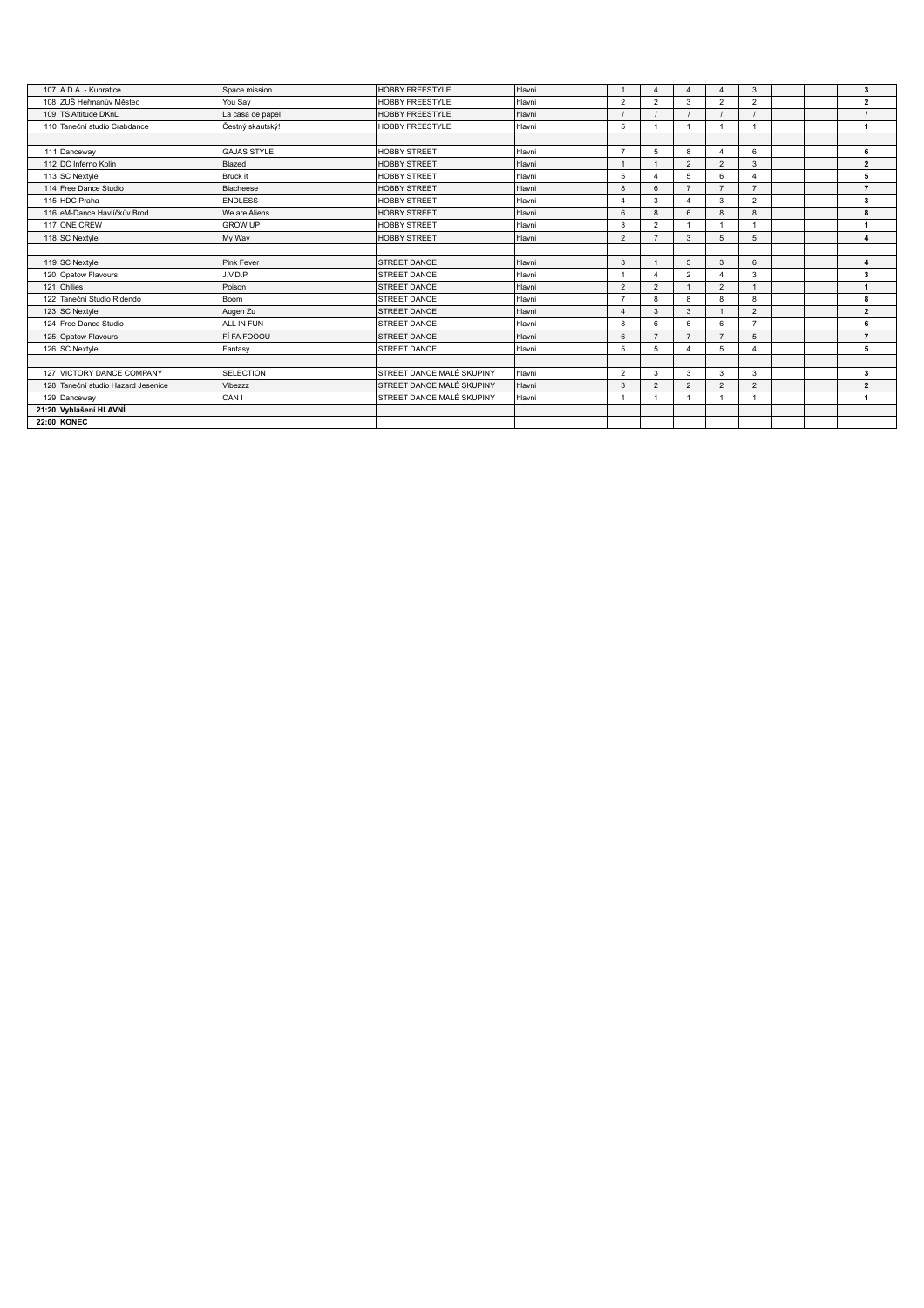| 107 A.D.A. - Kunratice             | Space mission      | <b>HOBBY FREESTYLE</b>    | hlavni |                       | $\Delta$       |                |                        | 3                      |  | 3                       |
|------------------------------------|--------------------|---------------------------|--------|-----------------------|----------------|----------------|------------------------|------------------------|--|-------------------------|
| 108 ZUŠ Heřmanův Městec            | You Say            | <b>HOBBY FREESTYLE</b>    | hlavni | $\overline{2}$        | $\overline{2}$ | 3              | $\overline{2}$         | $\overline{2}$         |  | $\overline{2}$          |
| 109 TS Attitude DKnL               | La casa de papel   | <b>HOBBY FREESTYLE</b>    | hlavni |                       |                |                |                        |                        |  |                         |
| 110 Taneční studio Crabdance       | Čestný skautský!   | <b>HOBBY FREESTYLE</b>    | hlavni | 5                     |                |                | $\overline{1}$         | -1                     |  | $\mathbf{1}$            |
|                                    |                    |                           |        |                       |                |                |                        |                        |  |                         |
| 111 Danceway                       | <b>GAJAS STYLE</b> | <b>HOBBY STREET</b>       | hlavni | $\overline{7}$        | 5              | 8              | $\boldsymbol{\Lambda}$ | 6                      |  | 6                       |
| 112 DC Inferno Kolin               | Blazed             | <b>HOBBY STREET</b>       | hlavni |                       | $\overline{1}$ | $\overline{2}$ | $\overline{2}$         | 3                      |  | $\overline{2}$          |
| 113 SC Nextyle                     | Bruck it           | <b>HOBBY STREET</b>       | hlavni | 5                     | $\Delta$       | 5              | 6                      |                        |  | 5                       |
| 114 Free Dance Studio              | Biacheese          | <b>HOBBY STREET</b>       | hlavni | 8                     | 6              | $\overline{ }$ | $\overline{z}$         | $\overline{7}$         |  | $\overline{7}$          |
| 115 HDC Praha                      | <b>ENDLESS</b>     | <b>HOBBY STREET</b>       | hlavni | $\boldsymbol{\Delta}$ | 3              |                | 3                      | $\overline{2}$         |  | 3                       |
| 116 eM-Dance Havlíčkův Brod        | We are Aliens      | <b>HOBBY STREET</b>       | hlavni | 6                     | 8              |                | 8                      | 8                      |  | 8                       |
| 117 ONE CREW                       | <b>GROW UP</b>     | <b>HOBBY STREET</b>       | hlavni | 3                     | $\overline{2}$ |                |                        |                        |  | $\mathbf{1}$            |
| 118 SC Nextyle                     | My Way             | <b>HOBBY STREET</b>       | hlavni | $\overline{2}$        | $\overline{7}$ | 3              | 5                      | 5                      |  | $\overline{\mathbf{4}}$ |
|                                    |                    |                           |        |                       |                |                |                        |                        |  |                         |
| 119 SC Nextyle                     | Pink Fever         | <b>STREET DANCE</b>       | hlavni | 3                     | $\mathbf{1}$   | 5              | 3                      | 6                      |  | $\overline{\mathbf{4}}$ |
| 120 Opatow Flavours                | J.V.D.P.           | <b>STREET DANCE</b>       | hlavni |                       | 4              | $\overline{2}$ |                        | 3                      |  | 3                       |
| 121 Chilies                        | Poison             | <b>STREET DANCE</b>       | hlavni | $\overline{2}$        | $\overline{2}$ |                | $\overline{2}$         |                        |  | $\mathbf{1}$            |
| 122 Taneční Studio Ridendo         | Boom               | <b>STREET DANCE</b>       | hlavni | $\overline{7}$        | 8              | R              | 8                      | 8                      |  | 8                       |
| 123 SC Nextyle                     | Augen Zu           | <b>STREET DANCE</b>       | hlavni | $\overline{4}$        | 3              | 3              |                        | $\overline{2}$         |  | $\overline{2}$          |
| 124 Free Dance Studio              | ALL IN FUN         | <b>STREET DANCE</b>       | hlavni | 8                     | 6              | 6              | 6                      | $\overline{7}$         |  | 6                       |
| 125 Opatow Flavours                | FÍ FA FOOOU        | <b>STREET DANCE</b>       | hlavni | 6                     | $\overline{7}$ |                |                        | 5                      |  | $\overline{7}$          |
| 126 SC Nextyle                     | Fantasy            | <b>STREET DANCE</b>       | hlavni | 5                     | 5              |                | 5                      | $\boldsymbol{\Lambda}$ |  | 5                       |
|                                    |                    |                           |        |                       |                |                |                        |                        |  |                         |
| 127 VICTORY DANCE COMPANY          | <b>SELECTION</b>   | STREET DANCE MALÉ SKUPINY | hlavni | $\overline{2}$        | 3              | 3              | 3                      | 3                      |  | 3                       |
| 128 Taneční studio Hazard Jesenice | Vibezzz            | STREET DANCE MALÉ SKUPINY | hlavni | 3                     | $\overline{2}$ | $\overline{2}$ | $\overline{2}$         | $\overline{2}$         |  | $\overline{2}$          |
| 129 Danceway                       | CAN I              | STREET DANCE MALÉ SKUPINY | hlavni |                       |                |                |                        |                        |  | $\mathbf{1}$            |
| 21:20 Vyhlášení HLAVNÍ             |                    |                           |        |                       |                |                |                        |                        |  |                         |
| 22:00 KONEC                        |                    |                           |        |                       |                |                |                        |                        |  |                         |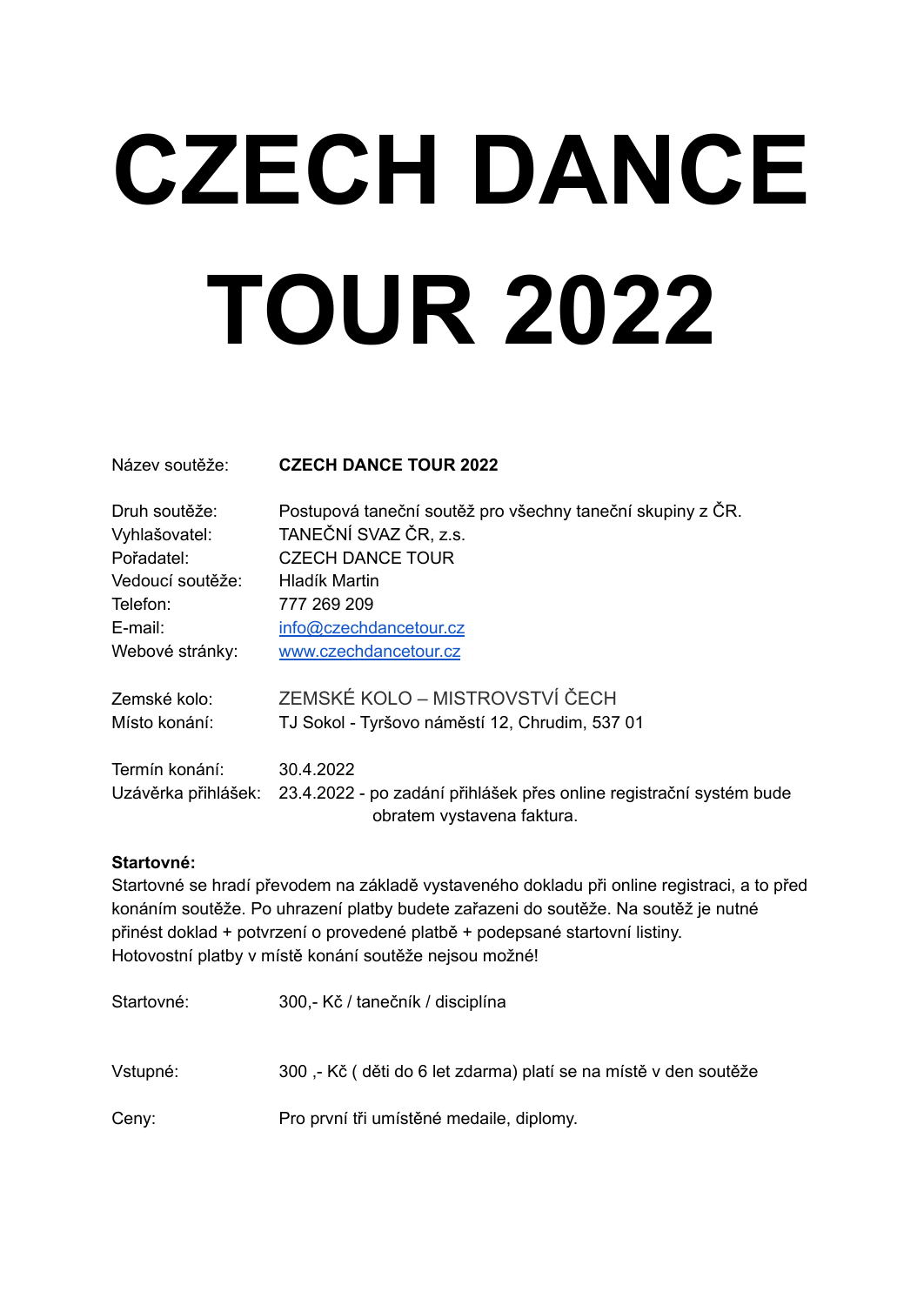# **CZECH DANCE TOUR 2022**

### Název soutěže: **CZECH DANCE TOUR 2022**

| Druh soutěže:<br>Vyhlašovatel: | Postupová taneční soutěž pro všechny taneční skupiny z ČR.<br>TANEČNÍ SVAZ ČR, z.s.                                   |
|--------------------------------|-----------------------------------------------------------------------------------------------------------------------|
| Pořadatel:                     | <b>CZECH DANCE TOUR</b>                                                                                               |
| Vedoucí soutěže:               | Hladík Martin                                                                                                         |
| Telefon:                       | 777 269 209                                                                                                           |
| E-mail:                        | info@czechdancetour.cz                                                                                                |
| Webové stránky:                | www.czechdancetour.cz                                                                                                 |
| Zemské kolo:                   | ZEMSKÉ KOLO – MISTROVSTVÍ ČECH                                                                                        |
| Místo konání:                  | TJ Sokol - Tyršovo náměstí 12, Chrudim, 537 01                                                                        |
| Termín konání:                 | 30.4.2022                                                                                                             |
|                                | Uzávěrka přihlášek: 23.4.2022 - po zadání přihlášek přes online registrační systém bude<br>obratem vystavena faktura. |

### **Startovné:**

Startovné se hradí převodem na základě vystaveného dokladu při online registraci, a to před konáním soutěže. Po uhrazení platby budete zařazeni do soutěže. Na soutěž je nutné přinést doklad + potvrzení o provedené platbě + podepsané startovní listiny. Hotovostní platby v místě konání soutěže nejsou možné!

Startovné: 300,- Kč / tanečník / disciplína

Vstupné: 300 ,- Kč ( děti do 6 let zdarma) platí se na místě v den soutěže

Ceny: Pro první tři umístěné medaile, diplomy.